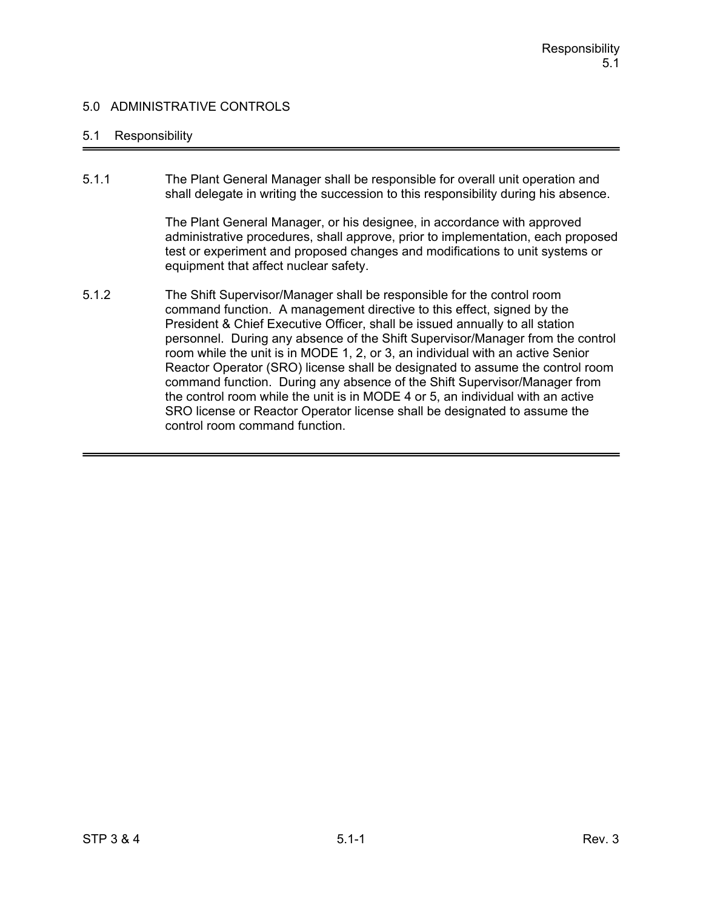### 5.1 Responsibility

5.1.1 The Plant General Manager shall be responsible for overall unit operation and shall delegate in writing the succession to this responsibility during his absence.

> The Plant General Manager, or his designee, in accordance with approved administrative procedures, shall approve, prior to implementation, each proposed test or experiment and proposed changes and modifications to unit systems or equipment that affect nuclear safety.

5.1.2 The Shift Supervisor/Manager shall be responsible for the control room command function. A management directive to this effect, signed by the President & Chief Executive Officer, shall be issued annually to all station personnel. During any absence of the Shift Supervisor/Manager from the control room while the unit is in MODE 1, 2, or 3, an individual with an active Senior Reactor Operator (SRO) license shall be designated to assume the control room command function. During any absence of the Shift Supervisor/Manager from the control room while the unit is in MODE 4 or 5, an individual with an active SRO license or Reactor Operator license shall be designated to assume the control room command function.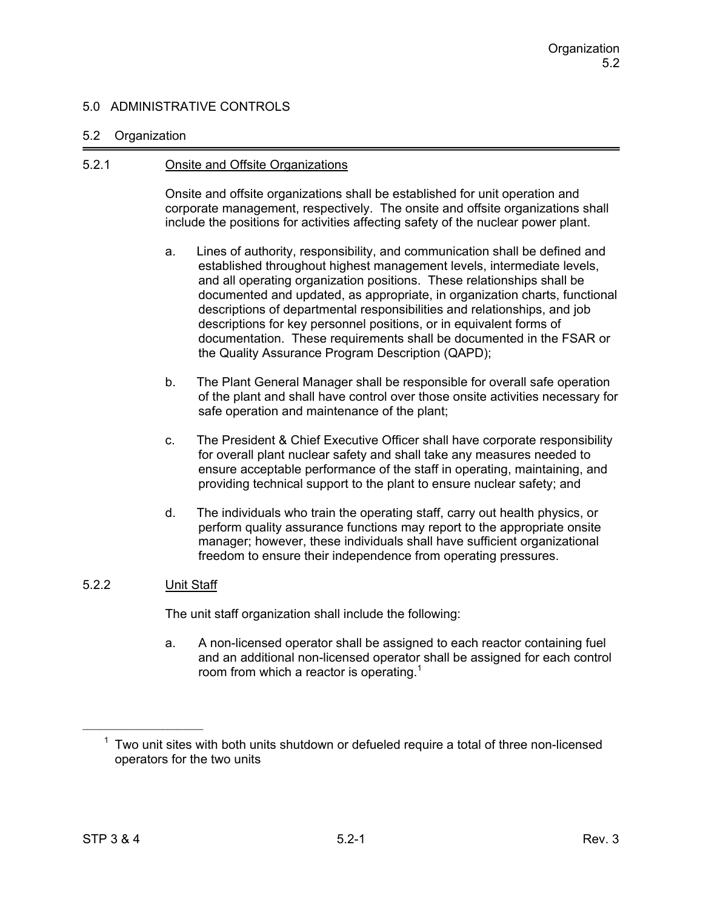### 5.2 Organization

### 5.2.1 Onsite and Offsite Organizations

Onsite and offsite organizations shall be established for unit operation and corporate management, respectively. The onsite and offsite organizations shall include the positions for activities affecting safety of the nuclear power plant.

- a. Lines of authority, responsibility, and communication shall be defined and established throughout highest management levels, intermediate levels, and all operating organization positions. These relationships shall be documented and updated, as appropriate, in organization charts, functional descriptions of departmental responsibilities and relationships, and job descriptions for key personnel positions, or in equivalent forms of documentation. These requirements shall be documented in the FSAR or the Quality Assurance Program Description (QAPD);
- b. The Plant General Manager shall be responsible for overall safe operation of the plant and shall have control over those onsite activities necessary for safe operation and maintenance of the plant;
- c. The President & Chief Executive Officer shall have corporate responsibility for overall plant nuclear safety and shall take any measures needed to ensure acceptable performance of the staff in operating, maintaining, and providing technical support to the plant to ensure nuclear safety; and
- d. The individuals who train the operating staff, carry out health physics, or perform quality assurance functions may report to the appropriate onsite manager; however, these individuals shall have sufficient organizational freedom to ensure their independence from operating pressures.

## 5.2.2 Unit Staff

The unit staff organization shall include the following:

a. A non-licensed operator shall be assigned to each reactor containing fuel and an additional non-licensed operator shall be assigned for each control room from which a reactor is operating.<sup>1</sup>

 $1$  Two unit sites with both units shutdown or defueled require a total of three non-licensed operators for the two units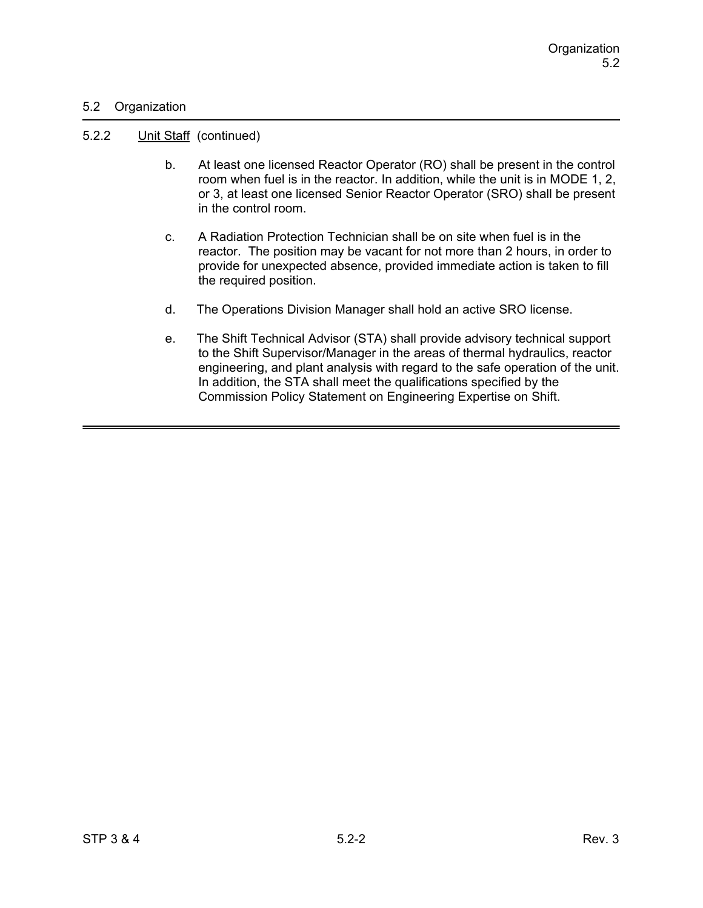## 5.2 Organization

#### 5.2.2 Unit Staff (continued)

- b. At least one licensed Reactor Operator (RO) shall be present in the control room when fuel is in the reactor. In addition, while the unit is in MODE 1, 2, or 3, at least one licensed Senior Reactor Operator (SRO) shall be present in the control room.
- c. A Radiation Protection Technician shall be on site when fuel is in the reactor. The position may be vacant for not more than 2 hours, in order to provide for unexpected absence, provided immediate action is taken to fill the required position.
- d. The Operations Division Manager shall hold an active SRO license.
- e. The Shift Technical Advisor (STA) shall provide advisory technical support to the Shift Supervisor/Manager in the areas of thermal hydraulics, reactor engineering, and plant analysis with regard to the safe operation of the unit. In addition, the STA shall meet the qualifications specified by the Commission Policy Statement on Engineering Expertise on Shift.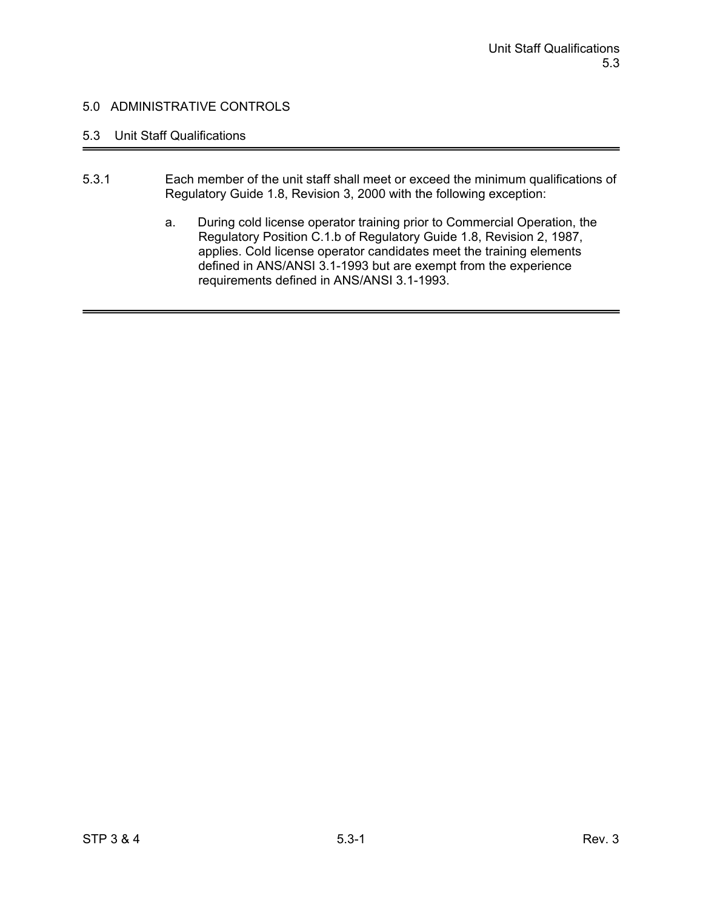## 5.3 Unit Staff Qualifications

- 5.3.1 Each member of the unit staff shall meet or exceed the minimum qualifications of Regulatory Guide 1.8, Revision 3, 2000 with the following exception:
	- a. During cold license operator training prior to Commercial Operation, the Regulatory Position C.1.b of Regulatory Guide 1.8, Revision 2, 1987, applies. Cold license operator candidates meet the training elements defined in ANS/ANSI 3.1-1993 but are exempt from the experience requirements defined in ANS/ANSI 3.1-1993.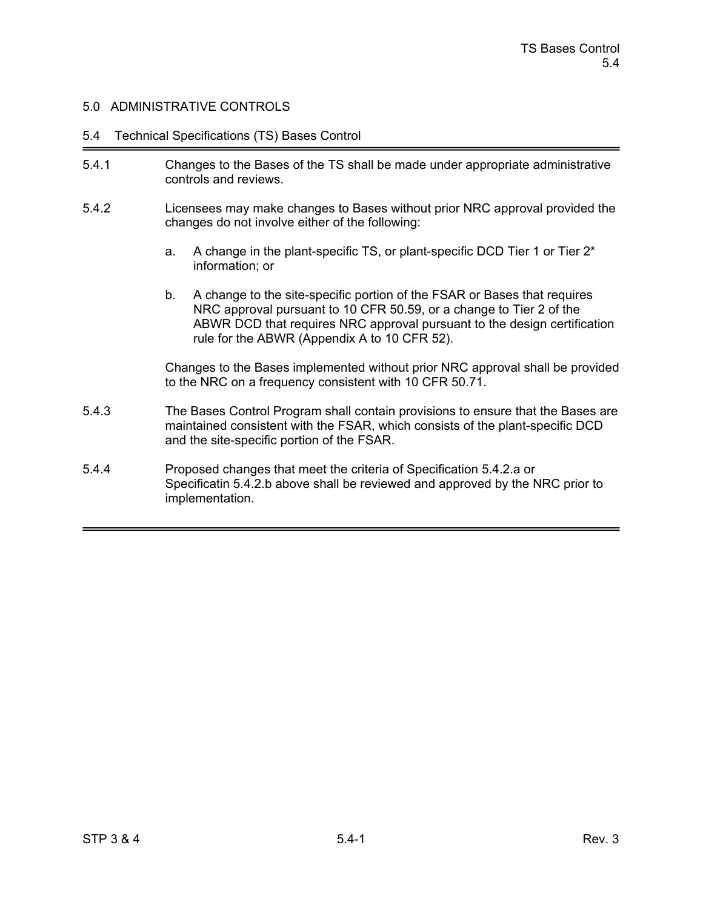#### 5.4 Technical Specifications (TS) Bases Control

- 5.4.1 Changes to the Bases of the TS shall be made under appropriate administrative controls and reviews.
- 5.4.2 Licensees may make changes to Bases without prior NRC approval provided the changes do not involve either of the following:
	- a. A change in the plant-specific TS, or plant-specific DCD Tier 1 or Tier 2\* information; or
	- b. A change to the site-specific portion of the FSAR or Bases that requires NRC approval pursuant to 10 CFR 50.59, or a change to Tier 2 of the ABWR DCD that requires NRC approval pursuant to the design certification rule for the ABWR (Appendix A to 10 CFR 52).

Changes to the Bases implemented without prior NRC approval shall be provided to the NRC on a frequency consistent with 10 CFR 50.71.

- 5.4.3 The Bases Control Program shall contain provisions to ensure that the Bases are maintained consistent with the FSAR, which consists of the plant-specific DCD and the site-specific portion of the FSAR.
- 5.4.4 Proposed changes that meet the criteria of Specification 5.4.2.a or Specificatin 5.4.2.b above shall be reviewed and approved by the NRC prior to implementation.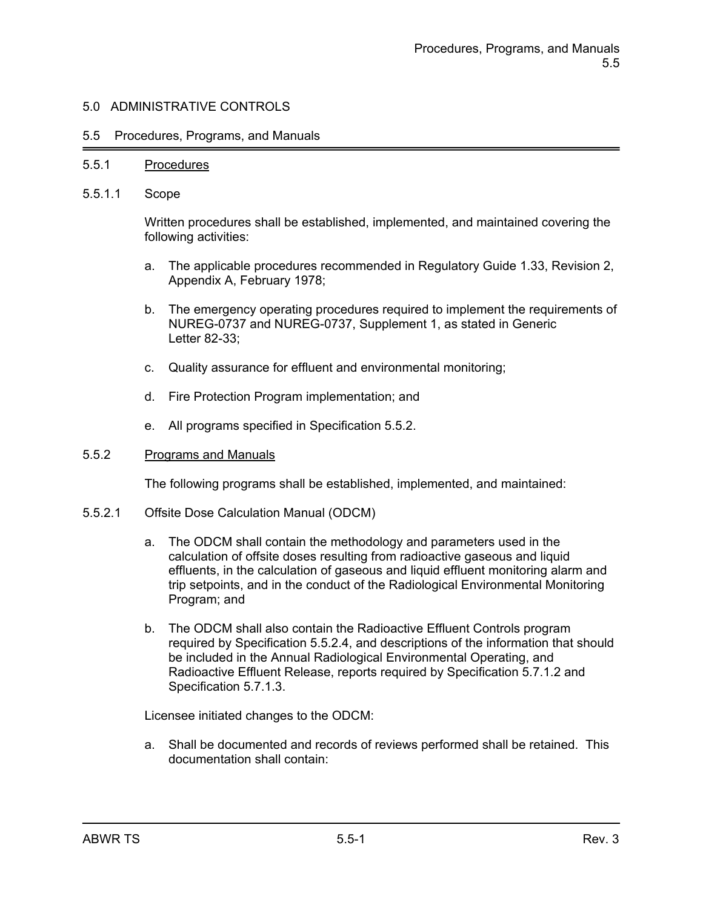#### 5.5 Procedures, Programs, and Manuals

#### 5.5.1 Procedures

5.5.1.1 Scope

Written procedures shall be established, implemented, and maintained covering the following activities:

- a. The applicable procedures recommended in Regulatory Guide 1.33, Revision 2, Appendix A, February 1978;
- b. The emergency operating procedures required to implement the requirements of NUREG-0737 and NUREG-0737, Supplement 1, as stated in Generic Letter 82-33;
- c. Quality assurance for effluent and environmental monitoring;
- d. Fire Protection Program implementation; and
- e. All programs specified in Specification 5.5.2.

#### 5.5.2 Programs and Manuals

The following programs shall be established, implemented, and maintained:

- 5.5.2.1 Offsite Dose Calculation Manual (ODCM)
	- a. The ODCM shall contain the methodology and parameters used in the calculation of offsite doses resulting from radioactive gaseous and liquid effluents, in the calculation of gaseous and liquid effluent monitoring alarm and trip setpoints, and in the conduct of the Radiological Environmental Monitoring Program; and
	- b. The ODCM shall also contain the Radioactive Effluent Controls program required by Specification 5.5.2.4, and descriptions of the information that should be included in the Annual Radiological Environmental Operating, and Radioactive Effluent Release, reports required by Specification 5.7.1.2 and Specification 5.7.1.3.

Licensee initiated changes to the ODCM:

a. Shall be documented and records of reviews performed shall be retained. This documentation shall contain: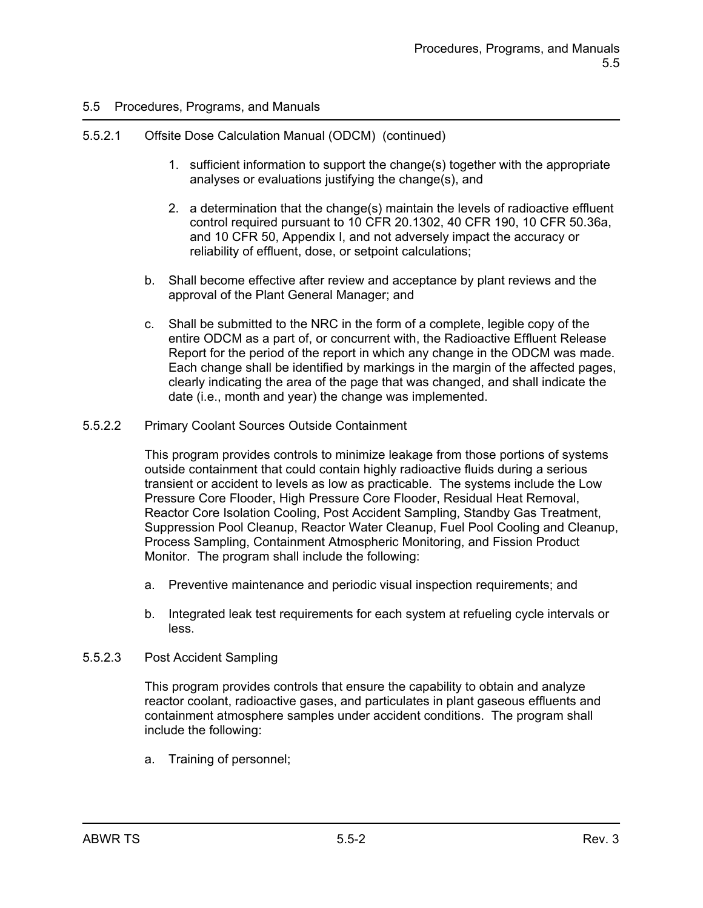## 5.5.2.1 Offsite Dose Calculation Manual (ODCM) (continued)

- 1. sufficient information to support the change(s) together with the appropriate analyses or evaluations justifying the change(s), and
- 2. a determination that the change(s) maintain the levels of radioactive effluent control required pursuant to 10 CFR 20.1302, 40 CFR 190, 10 CFR 50.36a, and 10 CFR 50, Appendix I, and not adversely impact the accuracy or reliability of effluent, dose, or setpoint calculations;
- b. Shall become effective after review and acceptance by plant reviews and the approval of the Plant General Manager; and
- c. Shall be submitted to the NRC in the form of a complete, legible copy of the entire ODCM as a part of, or concurrent with, the Radioactive Effluent Release Report for the period of the report in which any change in the ODCM was made. Each change shall be identified by markings in the margin of the affected pages, clearly indicating the area of the page that was changed, and shall indicate the date (i.e., month and year) the change was implemented.
- 5.5.2.2 Primary Coolant Sources Outside Containment

This program provides controls to minimize leakage from those portions of systems outside containment that could contain highly radioactive fluids during a serious transient or accident to levels as low as practicable. The systems include the Low Pressure Core Flooder, High Pressure Core Flooder, Residual Heat Removal, Reactor Core Isolation Cooling, Post Accident Sampling, Standby Gas Treatment, Suppression Pool Cleanup, Reactor Water Cleanup, Fuel Pool Cooling and Cleanup, Process Sampling, Containment Atmospheric Monitoring, and Fission Product Monitor. The program shall include the following:

- a. Preventive maintenance and periodic visual inspection requirements; and
- b. Integrated leak test requirements for each system at refueling cycle intervals or less.
- 5.5.2.3 Post Accident Sampling

This program provides controls that ensure the capability to obtain and analyze reactor coolant, radioactive gases, and particulates in plant gaseous effluents and containment atmosphere samples under accident conditions. The program shall include the following:

a. Training of personnel;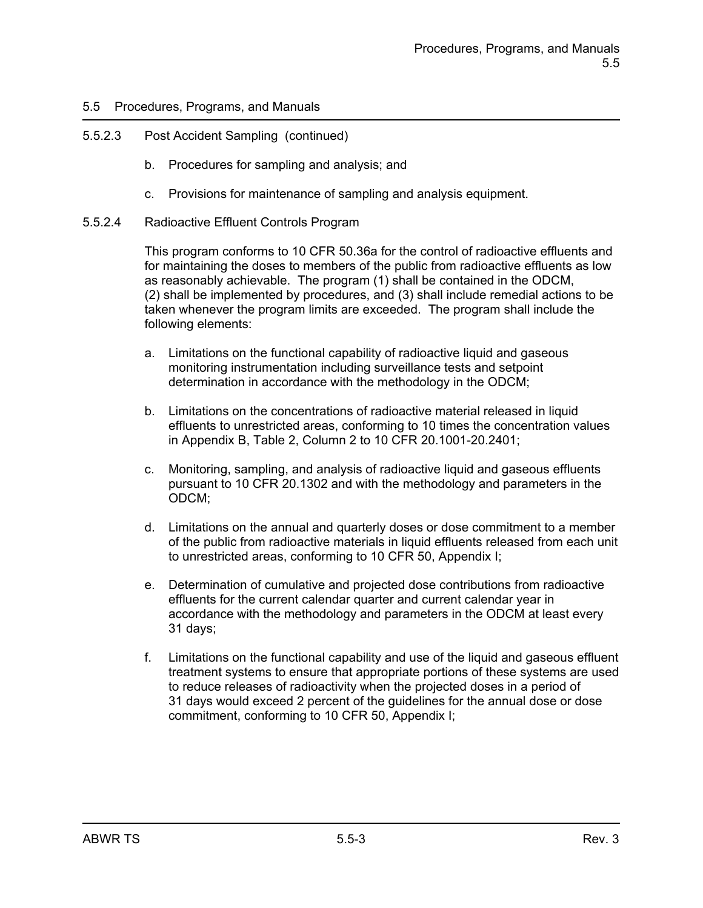## 5.5.2.3 Post Accident Sampling (continued)

- b. Procedures for sampling and analysis; and
- c. Provisions for maintenance of sampling and analysis equipment.
- 5.5.2.4 Radioactive Effluent Controls Program

This program conforms to 10 CFR 50.36a for the control of radioactive effluents and for maintaining the doses to members of the public from radioactive effluents as low as reasonably achievable. The program (1) shall be contained in the ODCM, (2) shall be implemented by procedures, and (3) shall include remedial actions to be taken whenever the program limits are exceeded. The program shall include the following elements:

- a. Limitations on the functional capability of radioactive liquid and gaseous monitoring instrumentation including surveillance tests and setpoint determination in accordance with the methodology in the ODCM;
- b. Limitations on the concentrations of radioactive material released in liquid effluents to unrestricted areas, conforming to 10 times the concentration values in Appendix B, Table 2, Column 2 to 10 CFR 20.1001-20.2401;
- c. Monitoring, sampling, and analysis of radioactive liquid and gaseous effluents pursuant to 10 CFR 20.1302 and with the methodology and parameters in the ODCM;
- d. Limitations on the annual and quarterly doses or dose commitment to a member of the public from radioactive materials in liquid effluents released from each unit to unrestricted areas, conforming to 10 CFR 50, Appendix I;
- e. Determination of cumulative and projected dose contributions from radioactive effluents for the current calendar quarter and current calendar year in accordance with the methodology and parameters in the ODCM at least every 31 days;
- f. Limitations on the functional capability and use of the liquid and gaseous effluent treatment systems to ensure that appropriate portions of these systems are used to reduce releases of radioactivity when the projected doses in a period of 31 days would exceed 2 percent of the guidelines for the annual dose or dose commitment, conforming to 10 CFR 50, Appendix I;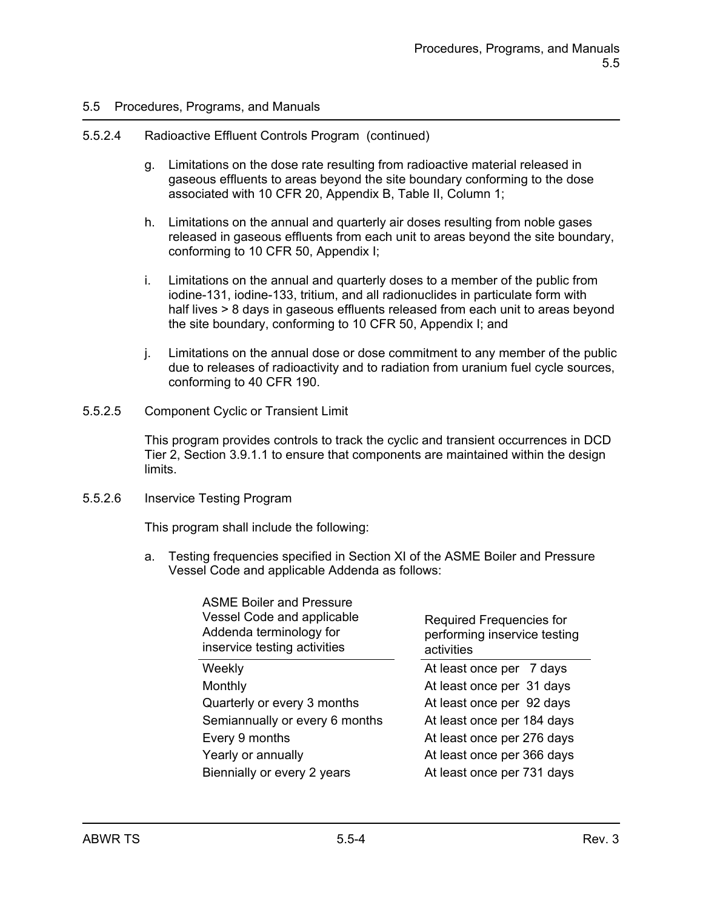#### 5.5.2.4 Radioactive Effluent Controls Program (continued)

- g. Limitations on the dose rate resulting from radioactive material released in gaseous effluents to areas beyond the site boundary conforming to the dose associated with 10 CFR 20, Appendix B, Table II, Column 1;
- h. Limitations on the annual and quarterly air doses resulting from noble gases released in gaseous effluents from each unit to areas beyond the site boundary, conforming to 10 CFR 50, Appendix I;
- i. Limitations on the annual and quarterly doses to a member of the public from iodine-131, iodine-133, tritium, and all radionuclides in particulate form with half lives > 8 days in gaseous effluents released from each unit to areas beyond the site boundary, conforming to 10 CFR 50, Appendix I; and
- j. Limitations on the annual dose or dose commitment to any member of the public due to releases of radioactivity and to radiation from uranium fuel cycle sources, conforming to 40 CFR 190.
- 5.5.2.5 Component Cyclic or Transient Limit

This program provides controls to track the cyclic and transient occurrences in DCD Tier 2, Section 3.9.1.1 to ensure that components are maintained within the design limits.

#### 5.5.2.6 Inservice Testing Program

This program shall include the following:

a. Testing frequencies specified in Section XI of the ASME Boiler and Pressure Vessel Code and applicable Addenda as follows:

| Required Frequencies for<br>performing inservice testing<br>activities |
|------------------------------------------------------------------------|
| At least once per 7 days                                               |
| At least once per 31 days                                              |
| At least once per 92 days                                              |
| At least once per 184 days                                             |
| At least once per 276 days                                             |
| At least once per 366 days                                             |
| At least once per 731 days                                             |
|                                                                        |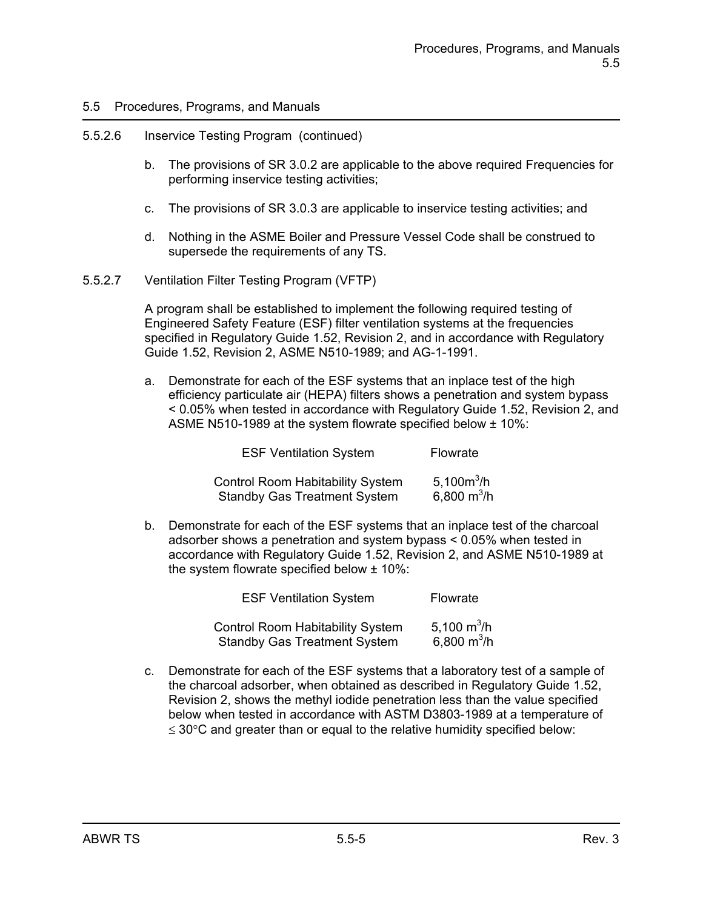#### 5.5.2.6 Inservice Testing Program (continued)

- b. The provisions of SR 3.0.2 are applicable to the above required Frequencies for performing inservice testing activities;
- c. The provisions of SR 3.0.3 are applicable to inservice testing activities; and
- d. Nothing in the ASME Boiler and Pressure Vessel Code shall be construed to supersede the requirements of any TS.
- 5.5.2.7 Ventilation Filter Testing Program (VFTP)

A program shall be established to implement the following required testing of Engineered Safety Feature (ESF) filter ventilation systems at the frequencies specified in Regulatory Guide 1.52, Revision 2, and in accordance with Regulatory Guide 1.52, Revision 2, ASME N510-1989; and AG-1-1991.

a. Demonstrate for each of the ESF systems that an inplace test of the high efficiency particulate air (HEPA) filters shows a penetration and system bypass < 0.05% when tested in accordance with Regulatory Guide 1.52, Revision 2, and ASME N510-1989 at the system flowrate specified below ± 10%:

| <b>ESF Ventilation System</b> |                                                                                | Flowrate                       |
|-------------------------------|--------------------------------------------------------------------------------|--------------------------------|
|                               | <b>Control Room Habitability System</b><br><b>Standby Gas Treatment System</b> | 5,100 $m^3/h$<br>6,800 $m^3/h$ |

b. Demonstrate for each of the ESF systems that an inplace test of the charcoal adsorber shows a penetration and system bypass < 0.05% when tested in accordance with Regulatory Guide 1.52, Revision 2, and ASME N510-1989 at the system flowrate specified below ± 10%:

| <b>ESF Ventilation System</b> |                                         | Flowrate                        |
|-------------------------------|-----------------------------------------|---------------------------------|
|                               | <b>Control Room Habitability System</b> | 5,100 $\mathrm{m}^3/\mathrm{h}$ |
|                               | <b>Standby Gas Treatment System</b>     | 6,800 $m^3/h$                   |

c. Demonstrate for each of the ESF systems that a laboratory test of a sample of the charcoal adsorber, when obtained as described in Regulatory Guide 1.52, Revision 2, shows the methyl iodide penetration less than the value specified below when tested in accordance with ASTM D3803-1989 at a temperature of  $\leq$  30 $\degree$ C and greater than or equal to the relative humidity specified below: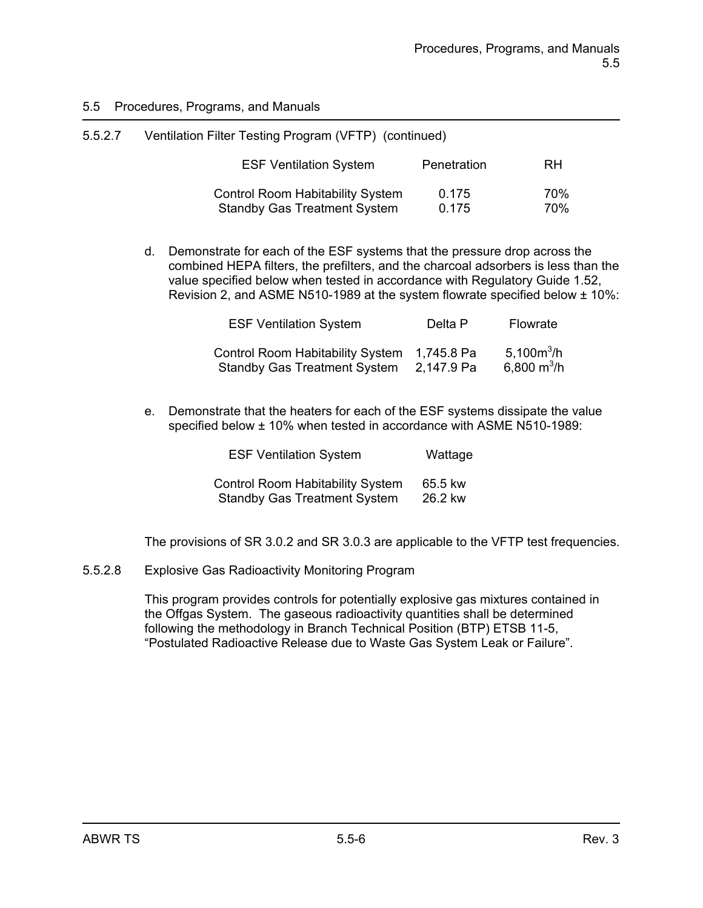| 5.5.2.7 | Ventilation Filter Testing Program (VFTP) (continued)                          |                |            |
|---------|--------------------------------------------------------------------------------|----------------|------------|
|         | <b>ESF Ventilation System</b>                                                  | Penetration    | RH         |
|         | <b>Control Room Habitability System</b><br><b>Standby Gas Treatment System</b> | 0.175<br>0.175 | 70%<br>70% |

d. Demonstrate for each of the ESF systems that the pressure drop across the combined HEPA filters, the prefilters, and the charcoal adsorbers is less than the value specified below when tested in accordance with Regulatory Guide 1.52, Revision 2, and ASME N510-1989 at the system flowrate specified below  $\pm$  10%:

| <b>ESF Ventilation System</b>                                               | Delta P    | Flowrate                                 |
|-----------------------------------------------------------------------------|------------|------------------------------------------|
| Control Room Habitability System 1,745.8 Pa<br>Standby Gas Treatment System | 2,147.9 Pa | 5,100 $m^3/h$<br>6,800 m <sup>3</sup> /h |

e. Demonstrate that the heaters for each of the ESF systems dissipate the value specified below ± 10% when tested in accordance with ASME N510-1989:

| <b>ESF Ventilation System</b>           | Wattage |
|-----------------------------------------|---------|
| <b>Control Room Habitability System</b> | 65.5 kw |
| <b>Standby Gas Treatment System</b>     | 26.2 kw |

The provisions of SR 3.0.2 and SR 3.0.3 are applicable to the VFTP test frequencies.

5.5.2.8 Explosive Gas Radioactivity Monitoring Program

This program provides controls for potentially explosive gas mixtures contained in the Offgas System. The gaseous radioactivity quantities shall be determined following the methodology in Branch Technical Position (BTP) ETSB 11-5, "Postulated Radioactive Release due to Waste Gas System Leak or Failure".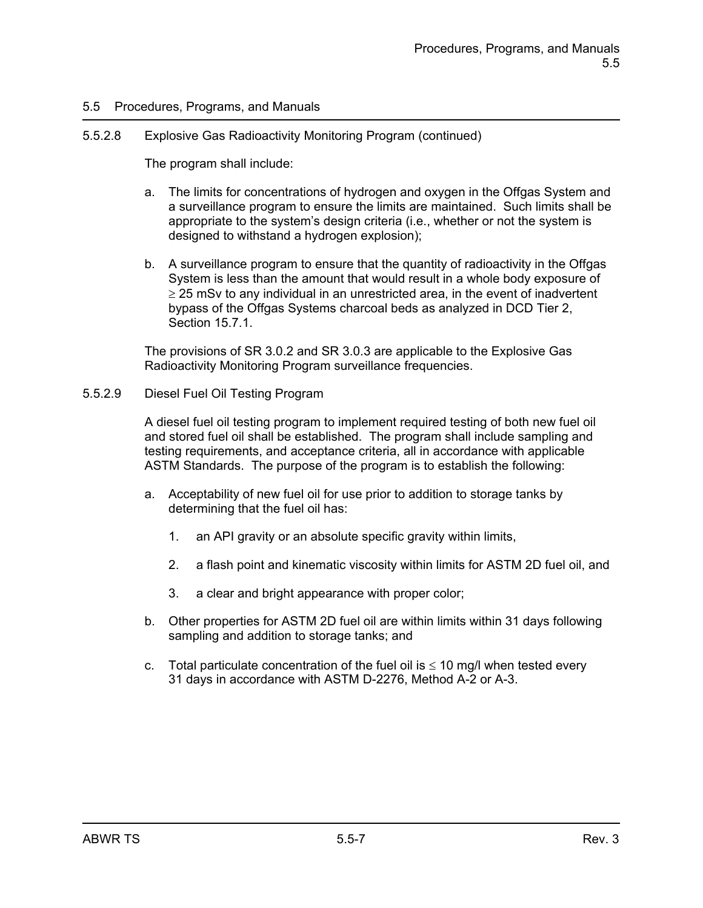### 5.5.2.8 Explosive Gas Radioactivity Monitoring Program (continued)

The program shall include:

- a. The limits for concentrations of hydrogen and oxygen in the Offgas System and a surveillance program to ensure the limits are maintained. Such limits shall be appropriate to the system's design criteria (i.e., whether or not the system is designed to withstand a hydrogen explosion);
- b. A surveillance program to ensure that the quantity of radioactivity in the Offgas System is less than the amount that would result in a whole body exposure of  $\geq$  25 mSv to any individual in an unrestricted area, in the event of inadvertent bypass of the Offgas Systems charcoal beds as analyzed in DCD Tier 2, Section 15.7.1.

The provisions of SR 3.0.2 and SR 3.0.3 are applicable to the Explosive Gas Radioactivity Monitoring Program surveillance frequencies.

### 5.5.2.9 Diesel Fuel Oil Testing Program

A diesel fuel oil testing program to implement required testing of both new fuel oil and stored fuel oil shall be established. The program shall include sampling and testing requirements, and acceptance criteria, all in accordance with applicable ASTM Standards. The purpose of the program is to establish the following:

- a. Acceptability of new fuel oil for use prior to addition to storage tanks by determining that the fuel oil has:
	- 1. an API gravity or an absolute specific gravity within limits,
	- 2. a flash point and kinematic viscosity within limits for ASTM 2D fuel oil, and
	- 3. a clear and bright appearance with proper color;
- b. Other properties for ASTM 2D fuel oil are within limits within 31 days following sampling and addition to storage tanks; and
- c. Total particulate concentration of the fuel oil is  $\leq 10$  mg/l when tested every 31 days in accordance with ASTM D-2276, Method A-2 or A-3.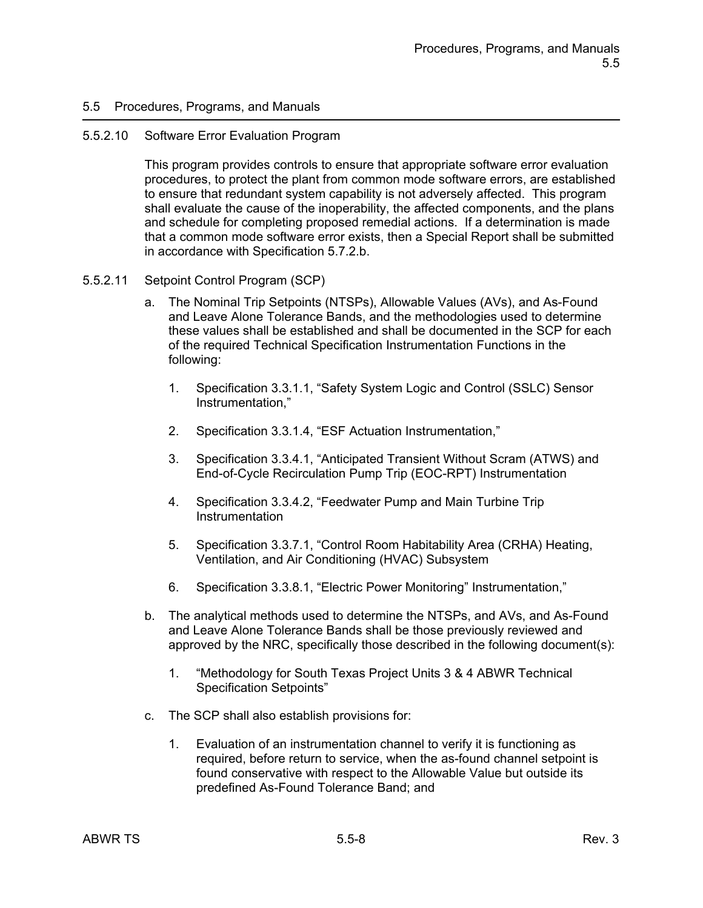#### 5.5.2.10 Software Error Evaluation Program

This program provides controls to ensure that appropriate software error evaluation procedures, to protect the plant from common mode software errors, are established to ensure that redundant system capability is not adversely affected. This program shall evaluate the cause of the inoperability, the affected components, and the plans and schedule for completing proposed remedial actions. If a determination is made that a common mode software error exists, then a Special Report shall be submitted in accordance with Specification 5.7.2.b.

#### 5.5.2.11 Setpoint Control Program (SCP)

- a. The Nominal Trip Setpoints (NTSPs), Allowable Values (AVs), and As-Found and Leave Alone Tolerance Bands, and the methodologies used to determine these values shall be established and shall be documented in the SCP for each of the required Technical Specification Instrumentation Functions in the following:
	- 1. Specification 3.3.1.1, "Safety System Logic and Control (SSLC) Sensor Instrumentation,"
	- 2. Specification 3.3.1.4, "ESF Actuation Instrumentation,"
	- 3. Specification 3.3.4.1, "Anticipated Transient Without Scram (ATWS) and End-of-Cycle Recirculation Pump Trip (EOC-RPT) Instrumentation
	- 4. Specification 3.3.4.2, "Feedwater Pump and Main Turbine Trip **Instrumentation**
	- 5. Specification 3.3.7.1, "Control Room Habitability Area (CRHA) Heating, Ventilation, and Air Conditioning (HVAC) Subsystem
	- 6. Specification 3.3.8.1, "Electric Power Monitoring" Instrumentation,"
- b. The analytical methods used to determine the NTSPs, and AVs, and As-Found and Leave Alone Tolerance Bands shall be those previously reviewed and approved by the NRC, specifically those described in the following document(s):
	- 1. "Methodology for South Texas Project Units 3 & 4 ABWR Technical Specification Setpoints"
- c. The SCP shall also establish provisions for:
	- 1. Evaluation of an instrumentation channel to verify it is functioning as required, before return to service, when the as-found channel setpoint is found conservative with respect to the Allowable Value but outside its predefined As-Found Tolerance Band; and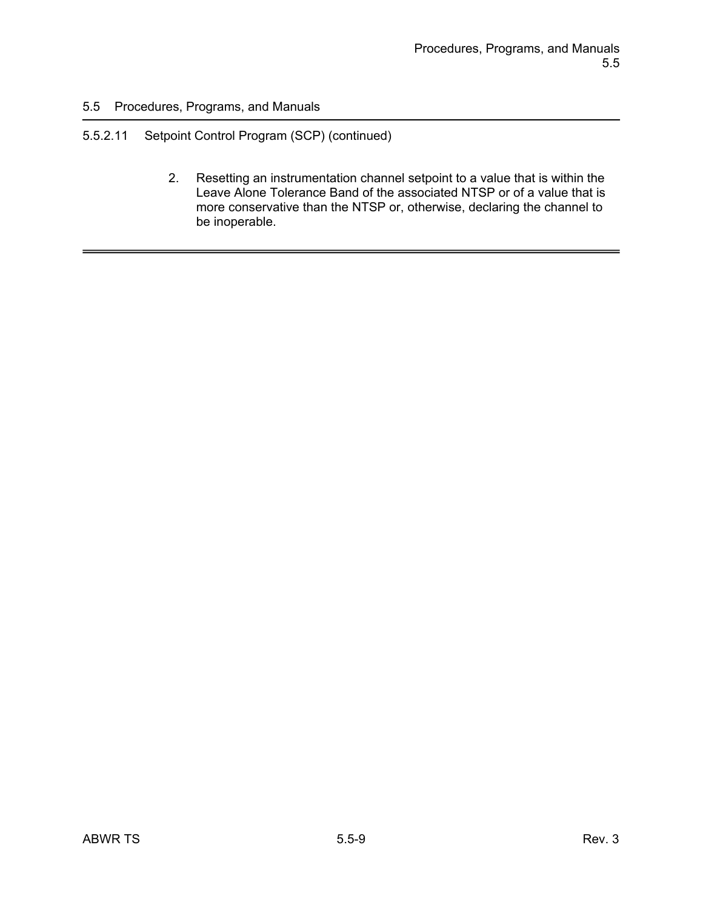# 5.5.2.11 Setpoint Control Program (SCP) (continued)

2. Resetting an instrumentation channel setpoint to a value that is within the Leave Alone Tolerance Band of the associated NTSP or of a value that is more conservative than the NTSP or, otherwise, declaring the channel to be inoperable.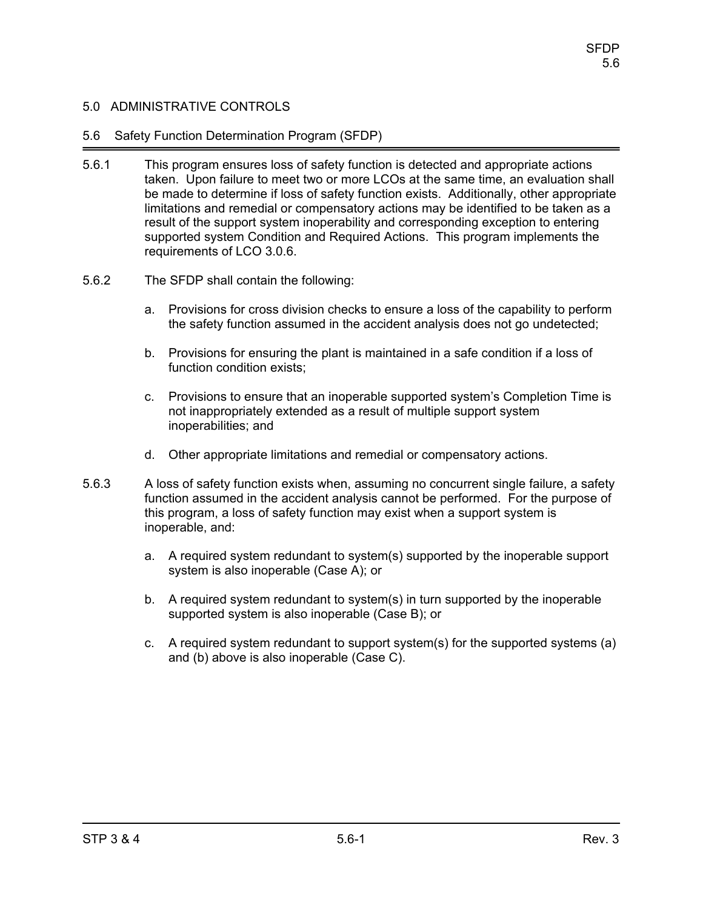### 5.6 Safety Function Determination Program (SFDP)

- 5.6.1 This program ensures loss of safety function is detected and appropriate actions taken. Upon failure to meet two or more LCOs at the same time, an evaluation shall be made to determine if loss of safety function exists. Additionally, other appropriate limitations and remedial or compensatory actions may be identified to be taken as a result of the support system inoperability and corresponding exception to entering supported system Condition and Required Actions. This program implements the requirements of LCO 3.0.6.
- 5.6.2 The SFDP shall contain the following:
	- a. Provisions for cross division checks to ensure a loss of the capability to perform the safety function assumed in the accident analysis does not go undetected;
	- b. Provisions for ensuring the plant is maintained in a safe condition if a loss of function condition exists;
	- c. Provisions to ensure that an inoperable supported system's Completion Time is not inappropriately extended as a result of multiple support system inoperabilities; and
	- d. Other appropriate limitations and remedial or compensatory actions.
- 5.6.3 A loss of safety function exists when, assuming no concurrent single failure, a safety function assumed in the accident analysis cannot be performed. For the purpose of this program, a loss of safety function may exist when a support system is inoperable, and:
	- a. A required system redundant to system(s) supported by the inoperable support system is also inoperable (Case A); or
	- b. A required system redundant to system(s) in turn supported by the inoperable supported system is also inoperable (Case B); or
	- c. A required system redundant to support system(s) for the supported systems (a) and (b) above is also inoperable (Case C).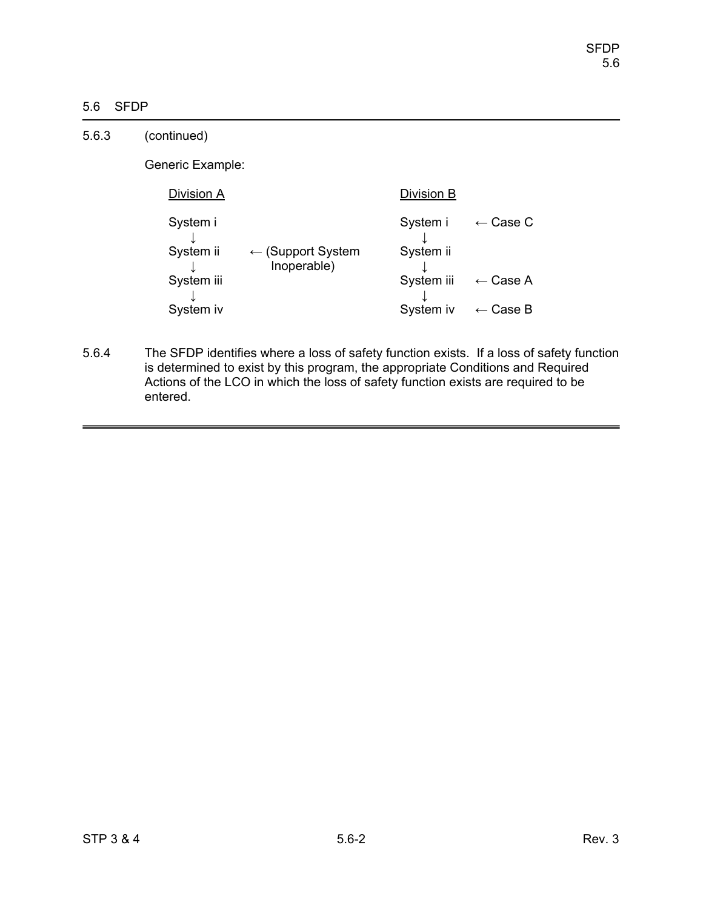# 5.6 SFDP

| 5.6.3 | (continued)           |                                             |                       |                     |
|-------|-----------------------|---------------------------------------------|-----------------------|---------------------|
|       | Generic Example:      |                                             |                       |                     |
|       | Division A            |                                             | Division B            |                     |
|       | System i<br>System ii | $\leftarrow$ (Support System<br>Inoperable) | System i<br>System ii | $\leftarrow$ Case C |
|       | System iii            |                                             | System iii            | $\leftarrow$ Case A |
|       | System iv             |                                             | System iv             | $\leftarrow$ Case B |

5.6.4 The SFDP identifies where a loss of safety function exists. If a loss of safety function is determined to exist by this program, the appropriate Conditions and Required Actions of the LCO in which the loss of safety function exists are required to be entered.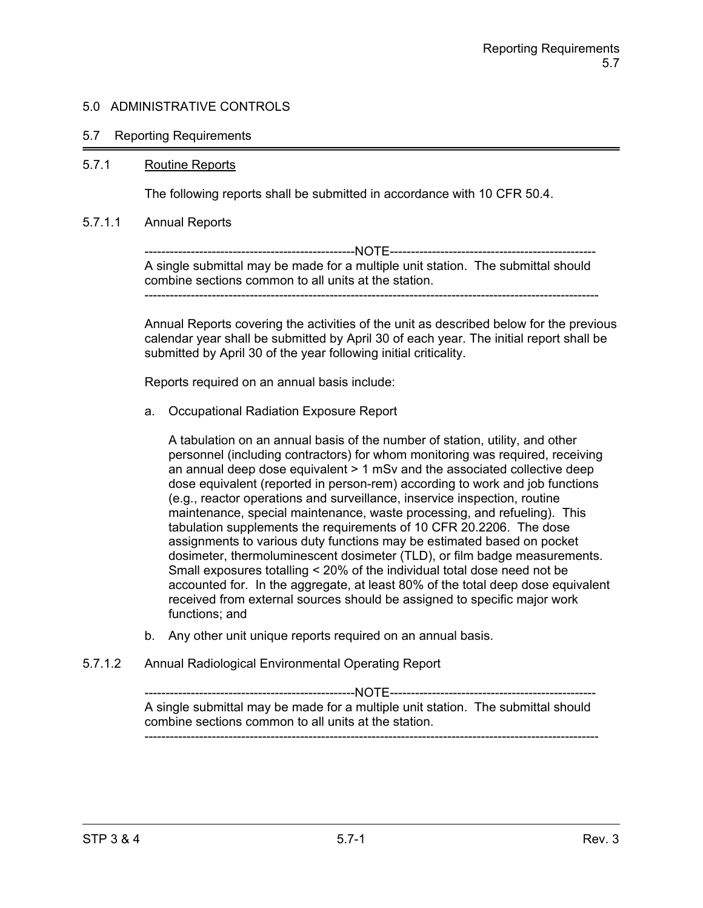### 5.7 Reporting Requirements

### 5.7.1 Routine Reports

The following reports shall be submitted in accordance with 10 CFR 50.4.

#### 5.7.1.1 Annual Reports

--------------------------------------------------NOTE------------------------------------------------- A single submittal may be made for a multiple unit station. The submittal should combine sections common to all units at the station. ------------------------------------------------------------------------------------------------------------

Annual Reports covering the activities of the unit as described below for the previous calendar year shall be submitted by April 30 of each year. The initial report shall be submitted by April 30 of the year following initial criticality.

Reports required on an annual basis include:

a. Occupational Radiation Exposure Report

A tabulation on an annual basis of the number of station, utility, and other personnel (including contractors) for whom monitoring was required, receiving an annual deep dose equivalent > 1 mSv and the associated collective deep dose equivalent (reported in person-rem) according to work and job functions (e.g., reactor operations and surveillance, inservice inspection, routine maintenance, special maintenance, waste processing, and refueling). This tabulation supplements the requirements of 10 CFR 20.2206. The dose assignments to various duty functions may be estimated based on pocket dosimeter, thermoluminescent dosimeter (TLD), or film badge measurements. Small exposures totalling < 20% of the individual total dose need not be accounted for. In the aggregate, at least 80% of the total deep dose equivalent received from external sources should be assigned to specific major work functions; and

- b. Any other unit unique reports required on an annual basis.
- 5.7.1.2 Annual Radiological Environmental Operating Report

--------------------------------------------------NOTE------------------------------------------------- A single submittal may be made for a multiple unit station. The submittal should combine sections common to all units at the station. ------------------------------------------------------------------------------------------------------------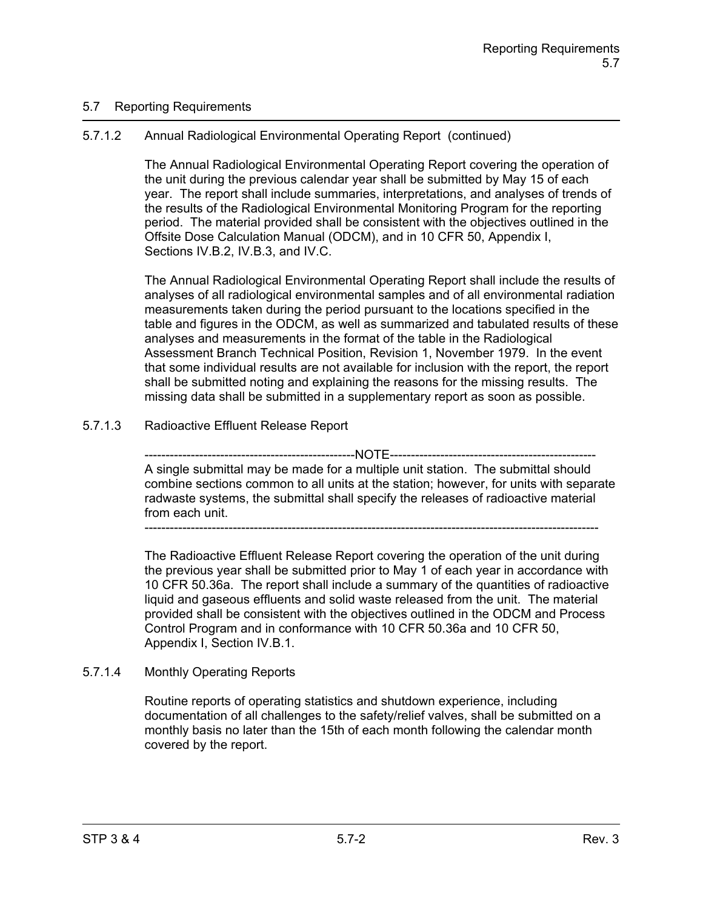## 5.7 Reporting Requirements

# 5.7.1.2 Annual Radiological Environmental Operating Report (continued)

The Annual Radiological Environmental Operating Report covering the operation of the unit during the previous calendar year shall be submitted by May 15 of each year. The report shall include summaries, interpretations, and analyses of trends of the results of the Radiological Environmental Monitoring Program for the reporting period. The material provided shall be consistent with the objectives outlined in the Offsite Dose Calculation Manual (ODCM), and in 10 CFR 50, Appendix I, Sections IV.B.2, IV.B.3, and IV.C.

The Annual Radiological Environmental Operating Report shall include the results of analyses of all radiological environmental samples and of all environmental radiation measurements taken during the period pursuant to the locations specified in the table and figures in the ODCM, as well as summarized and tabulated results of these analyses and measurements in the format of the table in the Radiological Assessment Branch Technical Position, Revision 1, November 1979. In the event that some individual results are not available for inclusion with the report, the report shall be submitted noting and explaining the reasons for the missing results. The missing data shall be submitted in a supplementary report as soon as possible.

# 5.7.1.3 Radioactive Effluent Release Report

---------NOTE-------------A single submittal may be made for a multiple unit station. The submittal should combine sections common to all units at the station; however, for units with separate radwaste systems, the submittal shall specify the releases of radioactive material from each unit.

------------------------------------------------------------------------------------------------------------

The Radioactive Effluent Release Report covering the operation of the unit during the previous year shall be submitted prior to May 1 of each year in accordance with 10 CFR 50.36a. The report shall include a summary of the quantities of radioactive liquid and gaseous effluents and solid waste released from the unit. The material provided shall be consistent with the objectives outlined in the ODCM and Process Control Program and in conformance with 10 CFR 50.36a and 10 CFR 50, Appendix I, Section IV.B.1.

## 5.7.1.4 Monthly Operating Reports

Routine reports of operating statistics and shutdown experience, including documentation of all challenges to the safety/relief valves, shall be submitted on a monthly basis no later than the 15th of each month following the calendar month covered by the report.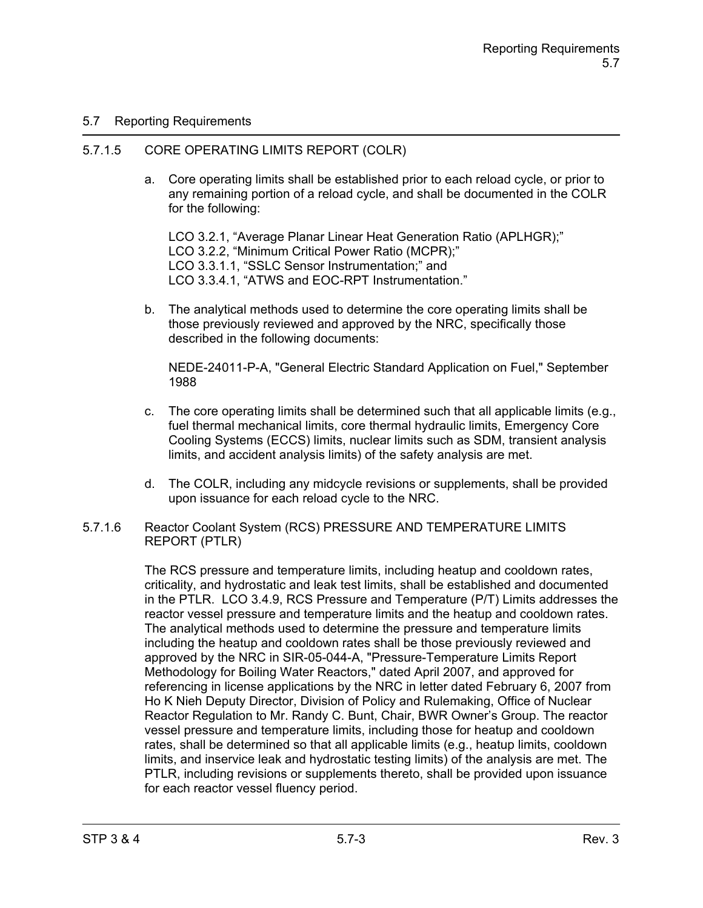## 5.7 Reporting Requirements

### 5.7.1.5 CORE OPERATING LIMITS REPORT (COLR)

a. Core operating limits shall be established prior to each reload cycle, or prior to any remaining portion of a reload cycle, and shall be documented in the COLR for the following:

LCO 3.2.1, "Average Planar Linear Heat Generation Ratio (APLHGR);" LCO 3.2.2, "Minimum Critical Power Ratio (MCPR);" LCO 3.3.1.1, "SSLC Sensor Instrumentation;" and LCO 3.3.4.1, "ATWS and EOC-RPT Instrumentation."

b. The analytical methods used to determine the core operating limits shall be those previously reviewed and approved by the NRC, specifically those described in the following documents:

NEDE-24011-P-A, "General Electric Standard Application on Fuel," September 1988

- c. The core operating limits shall be determined such that all applicable limits (e.g., fuel thermal mechanical limits, core thermal hydraulic limits, Emergency Core Cooling Systems (ECCS) limits, nuclear limits such as SDM, transient analysis limits, and accident analysis limits) of the safety analysis are met.
- d. The COLR, including any midcycle revisions or supplements, shall be provided upon issuance for each reload cycle to the NRC.
- 5.7.1.6 Reactor Coolant System (RCS) PRESSURE AND TEMPERATURE LIMITS REPORT (PTLR)

The RCS pressure and temperature limits, including heatup and cooldown rates, criticality, and hydrostatic and leak test limits, shall be established and documented in the PTLR. LCO 3.4.9, RCS Pressure and Temperature (P/T) Limits addresses the reactor vessel pressure and temperature limits and the heatup and cooldown rates. The analytical methods used to determine the pressure and temperature limits including the heatup and cooldown rates shall be those previously reviewed and approved by the NRC in SIR-05-044-A, "Pressure-Temperature Limits Report Methodology for Boiling Water Reactors," dated April 2007, and approved for referencing in license applications by the NRC in letter dated February 6, 2007 from Ho K Nieh Deputy Director, Division of Policy and Rulemaking, Office of Nuclear Reactor Regulation to Mr. Randy C. Bunt, Chair, BWR Owner's Group. The reactor vessel pressure and temperature limits, including those for heatup and cooldown rates, shall be determined so that all applicable limits (e.g., heatup limits, cooldown limits, and inservice leak and hydrostatic testing limits) of the analysis are met. The PTLR, including revisions or supplements thereto, shall be provided upon issuance for each reactor vessel fluency period.